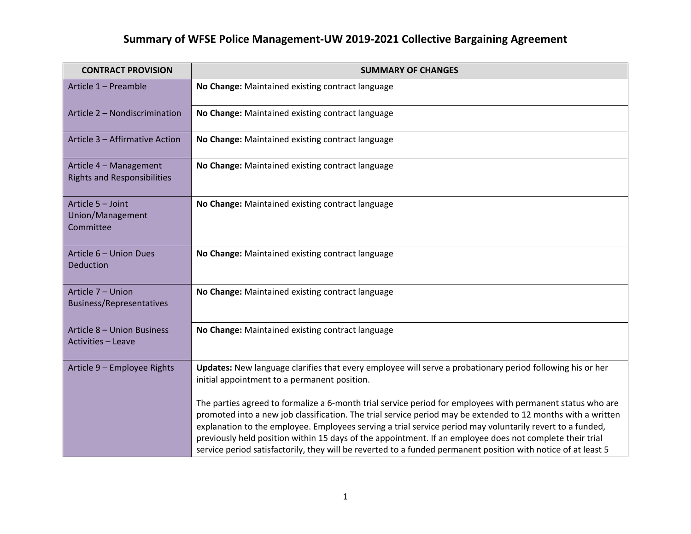| <b>CONTRACT PROVISION</b>                                    | <b>SUMMARY OF CHANGES</b>                                                                                                                                                                                                                                                                                                                                                                                                                                                                                                                                            |
|--------------------------------------------------------------|----------------------------------------------------------------------------------------------------------------------------------------------------------------------------------------------------------------------------------------------------------------------------------------------------------------------------------------------------------------------------------------------------------------------------------------------------------------------------------------------------------------------------------------------------------------------|
| Article 1 - Preamble                                         | No Change: Maintained existing contract language                                                                                                                                                                                                                                                                                                                                                                                                                                                                                                                     |
| Article 2 - Nondiscrimination                                | No Change: Maintained existing contract language                                                                                                                                                                                                                                                                                                                                                                                                                                                                                                                     |
| Article 3 - Affirmative Action                               | No Change: Maintained existing contract language                                                                                                                                                                                                                                                                                                                                                                                                                                                                                                                     |
| Article 4 - Management<br><b>Rights and Responsibilities</b> | No Change: Maintained existing contract language                                                                                                                                                                                                                                                                                                                                                                                                                                                                                                                     |
| Article 5 - Joint<br>Union/Management<br>Committee           | No Change: Maintained existing contract language                                                                                                                                                                                                                                                                                                                                                                                                                                                                                                                     |
| Article 6 - Union Dues<br>Deduction                          | No Change: Maintained existing contract language                                                                                                                                                                                                                                                                                                                                                                                                                                                                                                                     |
| Article 7 - Union<br><b>Business/Representatives</b>         | No Change: Maintained existing contract language                                                                                                                                                                                                                                                                                                                                                                                                                                                                                                                     |
| Article 8 - Union Business<br>Activities - Leave             | No Change: Maintained existing contract language                                                                                                                                                                                                                                                                                                                                                                                                                                                                                                                     |
| Article 9 - Employee Rights                                  | Updates: New language clarifies that every employee will serve a probationary period following his or her<br>initial appointment to a permanent position.                                                                                                                                                                                                                                                                                                                                                                                                            |
|                                                              | The parties agreed to formalize a 6-month trial service period for employees with permanent status who are<br>promoted into a new job classification. The trial service period may be extended to 12 months with a written<br>explanation to the employee. Employees serving a trial service period may voluntarily revert to a funded,<br>previously held position within 15 days of the appointment. If an employee does not complete their trial<br>service period satisfactorily, they will be reverted to a funded permanent position with notice of at least 5 |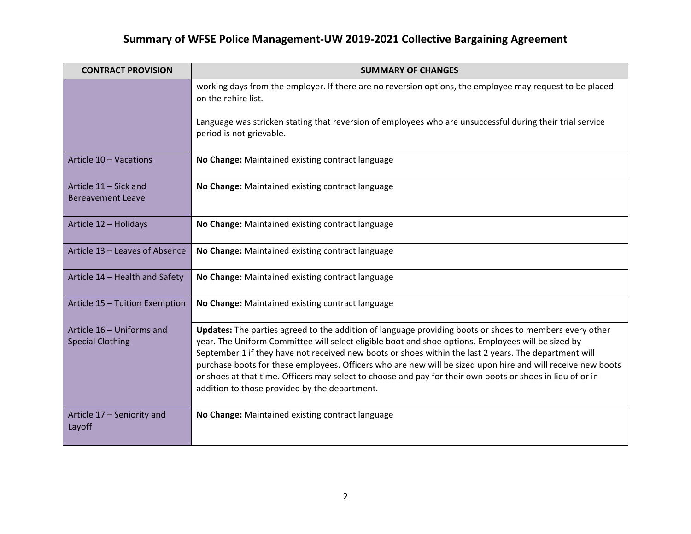| <b>CONTRACT PROVISION</b>                            | <b>SUMMARY OF CHANGES</b>                                                                                                                                                                                                                                                                                                                                                                                                                                                                                                                                                                            |
|------------------------------------------------------|------------------------------------------------------------------------------------------------------------------------------------------------------------------------------------------------------------------------------------------------------------------------------------------------------------------------------------------------------------------------------------------------------------------------------------------------------------------------------------------------------------------------------------------------------------------------------------------------------|
|                                                      | working days from the employer. If there are no reversion options, the employee may request to be placed<br>on the rehire list.                                                                                                                                                                                                                                                                                                                                                                                                                                                                      |
|                                                      | Language was stricken stating that reversion of employees who are unsuccessful during their trial service<br>period is not grievable.                                                                                                                                                                                                                                                                                                                                                                                                                                                                |
| Article 10 - Vacations                               | No Change: Maintained existing contract language                                                                                                                                                                                                                                                                                                                                                                                                                                                                                                                                                     |
| Article 11 - Sick and<br><b>Bereavement Leave</b>    | No Change: Maintained existing contract language                                                                                                                                                                                                                                                                                                                                                                                                                                                                                                                                                     |
| Article 12 - Holidays                                | No Change: Maintained existing contract language                                                                                                                                                                                                                                                                                                                                                                                                                                                                                                                                                     |
| Article 13 - Leaves of Absence                       | No Change: Maintained existing contract language                                                                                                                                                                                                                                                                                                                                                                                                                                                                                                                                                     |
| Article 14 - Health and Safety                       | No Change: Maintained existing contract language                                                                                                                                                                                                                                                                                                                                                                                                                                                                                                                                                     |
| Article 15 - Tuition Exemption                       | No Change: Maintained existing contract language                                                                                                                                                                                                                                                                                                                                                                                                                                                                                                                                                     |
| Article 16 - Uniforms and<br><b>Special Clothing</b> | Updates: The parties agreed to the addition of language providing boots or shoes to members every other<br>year. The Uniform Committee will select eligible boot and shoe options. Employees will be sized by<br>September 1 if they have not received new boots or shoes within the last 2 years. The department will<br>purchase boots for these employees. Officers who are new will be sized upon hire and will receive new boots<br>or shoes at that time. Officers may select to choose and pay for their own boots or shoes in lieu of or in<br>addition to those provided by the department. |
| Article 17 - Seniority and<br>Layoff                 | No Change: Maintained existing contract language                                                                                                                                                                                                                                                                                                                                                                                                                                                                                                                                                     |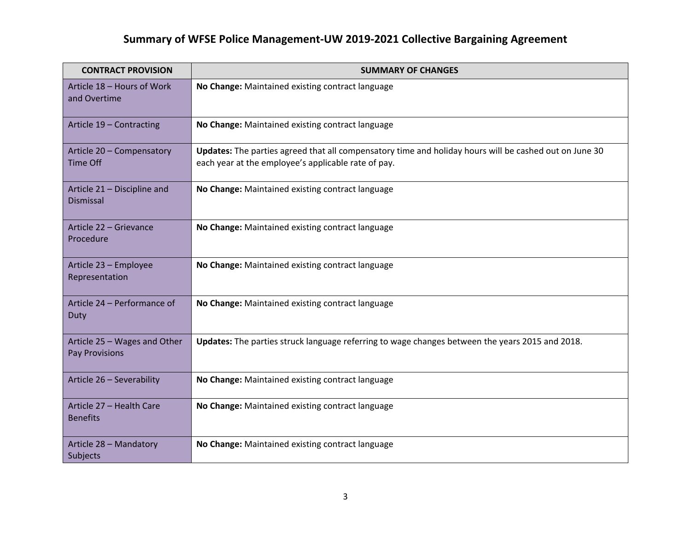| <b>CONTRACT PROVISION</b>                       | <b>SUMMARY OF CHANGES</b>                                                                                                                                     |
|-------------------------------------------------|---------------------------------------------------------------------------------------------------------------------------------------------------------------|
| Article 18 - Hours of Work<br>and Overtime      | No Change: Maintained existing contract language                                                                                                              |
| Article 19 - Contracting                        | No Change: Maintained existing contract language                                                                                                              |
| Article 20 - Compensatory<br><b>Time Off</b>    | Updates: The parties agreed that all compensatory time and holiday hours will be cashed out on June 30<br>each year at the employee's applicable rate of pay. |
| Article 21 - Discipline and<br><b>Dismissal</b> | No Change: Maintained existing contract language                                                                                                              |
| Article 22 - Grievance<br>Procedure             | No Change: Maintained existing contract language                                                                                                              |
| Article 23 - Employee<br>Representation         | No Change: Maintained existing contract language                                                                                                              |
| Article 24 - Performance of<br>Duty             | No Change: Maintained existing contract language                                                                                                              |
| Article 25 - Wages and Other<br>Pay Provisions  | Updates: The parties struck language referring to wage changes between the years 2015 and 2018.                                                               |
| Article 26 - Severability                       | No Change: Maintained existing contract language                                                                                                              |
| Article 27 - Health Care<br><b>Benefits</b>     | No Change: Maintained existing contract language                                                                                                              |
| Article 28 - Mandatory<br>Subjects              | No Change: Maintained existing contract language                                                                                                              |